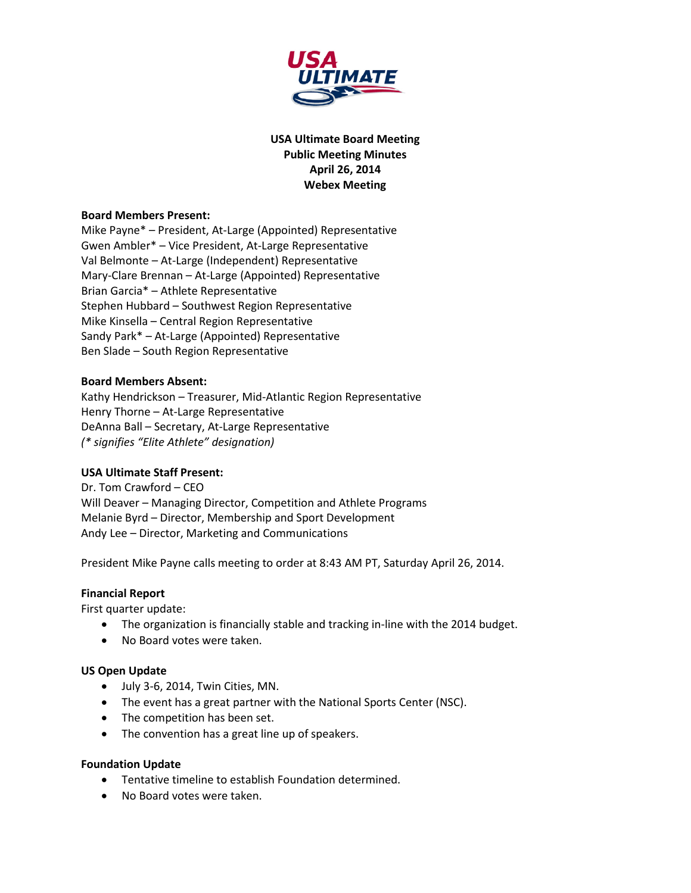

**USA Ultimate Board Meeting Public Meeting Minutes April 26, 2014 Webex Meeting**

## **Board Members Present:**

Mike Payne\* – President, At-Large (Appointed) Representative Gwen Ambler\* – Vice President, At-Large Representative Val Belmonte – At-Large (Independent) Representative Mary-Clare Brennan – At-Large (Appointed) Representative Brian Garcia\* – Athlete Representative Stephen Hubbard – Southwest Region Representative Mike Kinsella – Central Region Representative Sandy Park\* – At-Large (Appointed) Representative Ben Slade – South Region Representative

### **Board Members Absent:**

Kathy Hendrickson – Treasurer, Mid-Atlantic Region Representative Henry Thorne – At-Large Representative DeAnna Ball – Secretary, At-Large Representative *(\* signifies "Elite Athlete" designation)*

## **USA Ultimate Staff Present:**

Dr. Tom Crawford – CEO Will Deaver – Managing Director, Competition and Athlete Programs Melanie Byrd – Director, Membership and Sport Development Andy Lee – Director, Marketing and Communications

President Mike Payne calls meeting to order at 8:43 AM PT, Saturday April 26, 2014.

#### **Financial Report**

First quarter update:

- The organization is financially stable and tracking in-line with the 2014 budget.
- No Board votes were taken.

#### **US Open Update**

- July 3-6, 2014, Twin Cities, MN.
- The event has a great partner with the National Sports Center (NSC).
- The competition has been set.
- The convention has a great line up of speakers.

#### **Foundation Update**

- Tentative timeline to establish Foundation determined.
- No Board votes were taken.